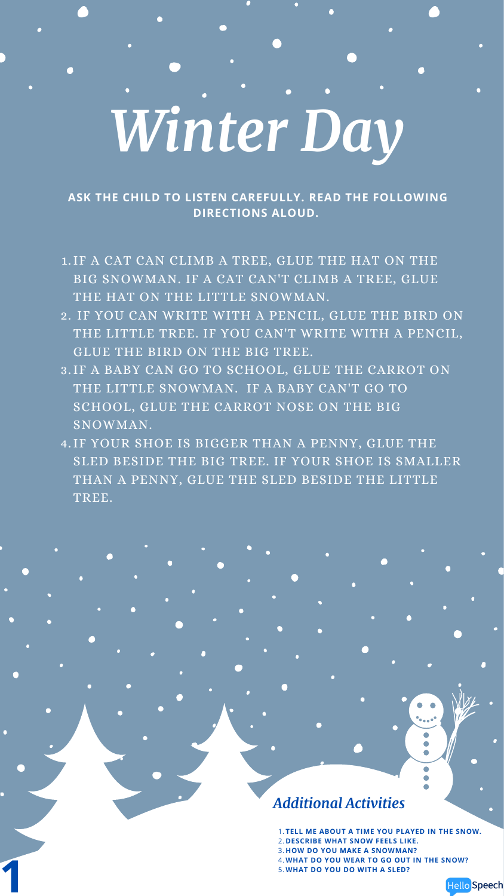## *Winter Day*

**ASK THE CHILD TO LISTEN CAREFULLY. READ THE FOLLOWING DIRECTIONS ALOUD.**

- 1. IF A CAT CAN CLIMB A TREE, GLUE THE HAT ON THE BIG SNOWMAN. IF A CAT CAN'T CLIMB A TREE, GLUE THE HAT ON THE LITTLE SNOWMAN.
- IF YOU CAN WRITE WITH A PENCIL, GLUE THE BIRD ON 2. THE LITTLE TREE. IF YOU CAN'T WRITE WITH A PENCIL, GLUE THE BIRD ON THE BIG TREE.
- 3. IF A BABY CAN GO TO SCHOOL, GLUE THE CARROT ON THE LITTLE SNOWMAN. IF A BABY CAN'T GO TO SCHOOL, GLUE THE CARROT NOSE ON THE BIG SNOWMAN.
- 4. IF YOUR SHOE IS BIGGER THAN A PENNY, GLUE THE SLED BESIDE THE BIG TREE. IF YOUR SHOE IS SMALLER THAN A PENNY, GLUE THE SLED BESIDE THE LITTLE TREE.

 $\bullet$ 

- **TELL ME ABOUT A TIME YOU PLAYED IN THE SNOW.** 1. **DESCRIBE WHAT SNOW FEELS LIKE.** 2.
- **HOW DO YOU MAKE A SNOWMAN?** 3.
- **WHAT DO YOU WEAR TO GO OUT IN THE SNOW?** 4.
- **WHAT DO YOU DO WITH A SLED?** 4.1<br>5.1



## *Additional Activities*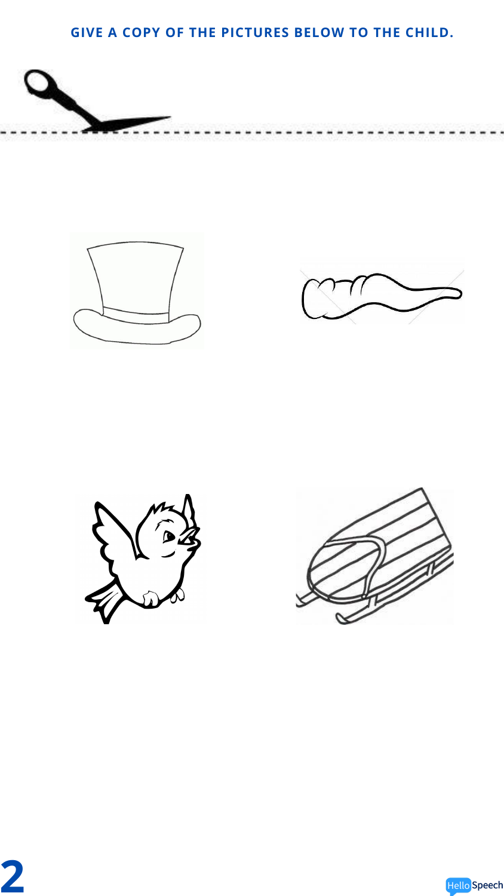## **GIVE A COPY OF THE PICTURES BELOW TO THE CHILD.**